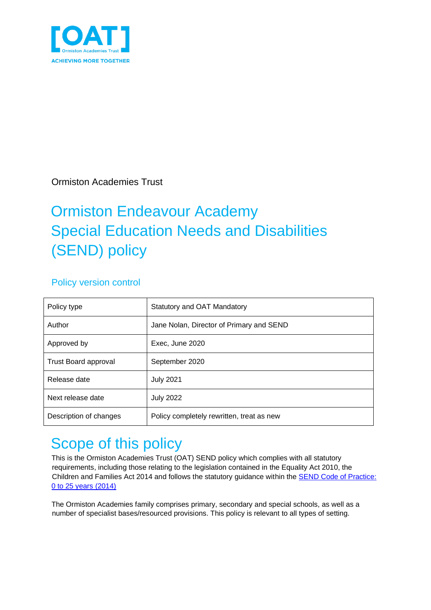

Ormiston Academies Trust

# Ormiston Endeavour Academy Special Education Needs and Disabilities (SEND) policy

#### Policy version control

| Policy type                 | Statutory and OAT Mandatory               |
|-----------------------------|-------------------------------------------|
| Author                      | Jane Nolan, Director of Primary and SEND  |
| Approved by                 | Exec, June 2020                           |
| <b>Trust Board approval</b> | September 2020                            |
| Release date                | <b>July 2021</b>                          |
| Next release date           | <b>July 2022</b>                          |
| Description of changes      | Policy completely rewritten, treat as new |

## <span id="page-0-0"></span>Scope of this policy

This is the Ormiston Academies Trust (OAT) SEND policy which complies with all statutory requirements, including those relating to the legislation contained in the Equality Act 2010, the Children and Families Act 2014 and follows the statutory guidance within the [SEND Code of Practice:](https://www.gov.uk/government/publications/send-code-of-practice-0-to-25) [0 to 25 years \(2014\)](https://www.gov.uk/government/publications/send-code-of-practice-0-to-25)

The Ormiston Academies family comprises primary, secondary and special schools, as well as a number of specialist bases/resourced provisions. This policy is relevant to all types of setting.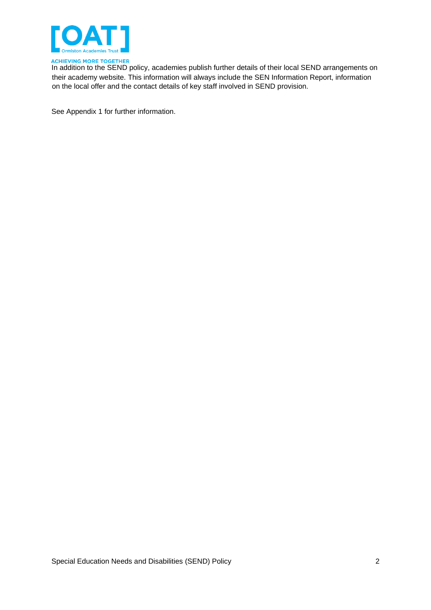

ACHIEVING MORE TOGETHER<br>In addition to the SEND policy, academies publish further details of their local SEND arrangements on their academy website. This information will always include the SEN Information Report, information on the local offer and the contact details of key staff involved in SEND provision.

See Appendix 1 for further information.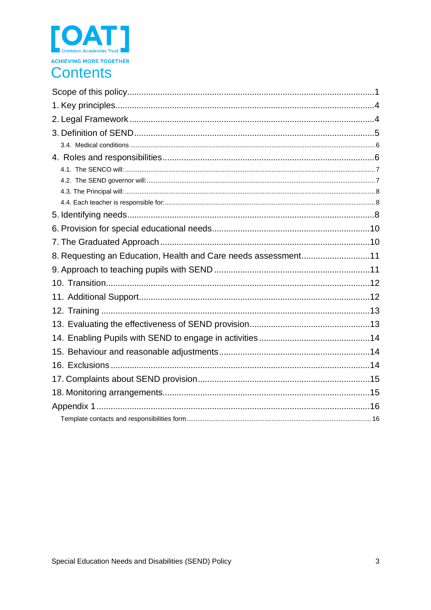

### **Contents**

| 8. Requesting an Education, Health and Care needs assessment11 |  |
|----------------------------------------------------------------|--|
|                                                                |  |
|                                                                |  |
|                                                                |  |
|                                                                |  |
|                                                                |  |
|                                                                |  |
|                                                                |  |
|                                                                |  |
|                                                                |  |
|                                                                |  |
|                                                                |  |
|                                                                |  |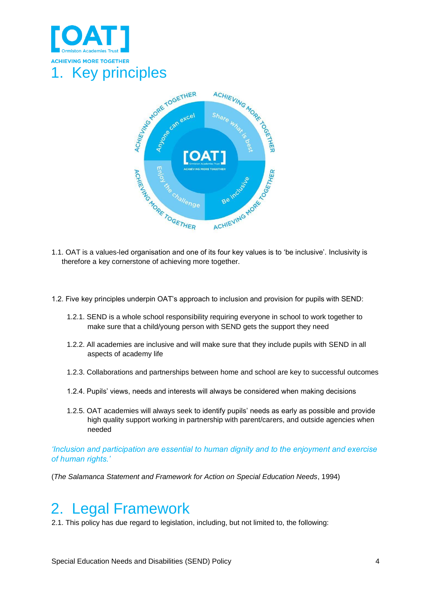

<span id="page-3-0"></span>

- therefore a key cornerstone of achieving more together.
- 1.2. Five key principles underpin OAT's approach to inclusion and provision for pupils with SEND:
	- 1.2.1. SEND is a whole school responsibility requiring everyone in school to work together to make sure that a child/young person with SEND gets the support they need
	- 1.2.2. All academies are inclusive and will make sure that they include pupils with SEND in all aspects of academy life
	- 1.2.3. Collaborations and partnerships between home and school are key to successful outcomes
	- 1.2.4. Pupils' views, needs and interests will always be considered when making decisions
	- 1.2.5. OAT academies will always seek to identify pupils' needs as early as possible and provide high quality support working in partnership with parent/carers, and outside agencies when needed

*'Inclusion and participation are essential to human dignity and to the enjoyment and exercise of human rights.'* 

(*The Salamanca Statement and Framework for Action on Special Education Needs*, 1994)

### <span id="page-3-1"></span>2. Legal Framework

2.1. This policy has due regard to legislation, including, but not limited to, the following: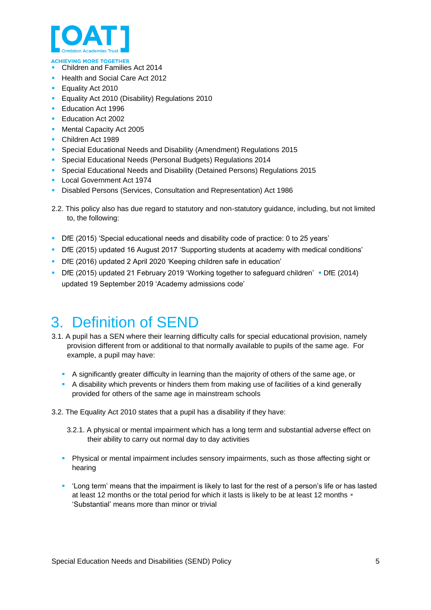

- Children and Families Act 2014
- Health and Social Care Act 2012
- **Equality Act 2010**
- **Equality Act 2010 (Disability) Regulations 2010**
- Education Act 1996
- Education Act 2002
- Mental Capacity Act 2005
- Children Act 1989
- Special Educational Needs and Disability (Amendment) Regulations 2015
- Special Educational Needs (Personal Budgets) Regulations 2014
- Special Educational Needs and Disability (Detained Persons) Regulations 2015
- Local Government Act 1974
- **E** Disabled Persons (Services, Consultation and Representation) Act 1986
- 2.2. This policy also has due regard to statutory and non-statutory guidance, including, but not limited to, the following:
- DfE (2015) 'Special educational needs and disability code of practice: 0 to 25 years'
- DfE (2015) updated 16 August 2017 'Supporting students at academy with medical conditions'
- DfE (2016) updated 2 April 2020 'Keeping children safe in education'
- DfE (2015) updated 21 February 2019 'Working together to safeguard children' DfE (2014) updated 19 September 2019 'Academy admissions code'

### <span id="page-4-0"></span>3. Definition of SEND

- 3.1. A pupil has a SEN where their learning difficulty calls for special educational provision, namely provision different from or additional to that normally available to pupils of the same age. For example, a pupil may have:
	- **EXED** A significantly greater difficulty in learning than the majority of others of the same age, or
	- A disability which prevents or hinders them from making use of facilities of a kind generally provided for others of the same age in mainstream schools

3.2. The Equality Act 2010 states that a pupil has a disability if they have:

- 3.2.1. A physical or mental impairment which has a long term and substantial adverse effect on their ability to carry out normal day to day activities
- Physical or mental impairment includes sensory impairments, such as those affecting sight or hearing
- 'Long term' means that the impairment is likely to last for the rest of a person's life or has lasted at least 12 months or the total period for which it lasts is likely to be at least 12 months . 'Substantial' means more than minor or trivial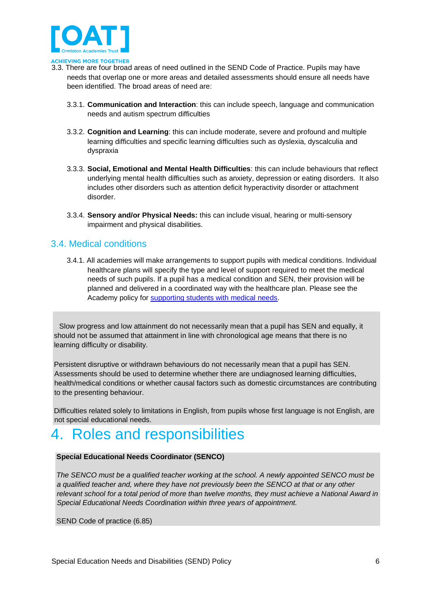

- 3.3. There are four broad areas of need outlined in the SEND Code of Practice. Pupils may have needs that overlap one or more areas and detailed assessments should ensure all needs have been identified. The broad areas of need are:
	- 3.3.1. **Communication and Interaction**: this can include speech, language and communication needs and autism spectrum difficulties
	- 3.3.2. **Cognition and Learning**: this can include moderate, severe and profound and multiple learning difficulties and specific learning difficulties such as dyslexia, dyscalculia and dyspraxia
	- 3.3.3. **Social, Emotional and Mental Health Difficulties**: this can include behaviours that reflect underlying mental health difficulties such as anxiety, depression or eating disorders. It also includes other disorders such as attention deficit hyperactivity disorder or attachment disorder.
	- 3.3.4. **Sensory and/or Physical Needs:** this can include visual, hearing or multi-sensory impairment and physical disabilities.

#### <span id="page-5-0"></span>3.4. Medical conditions

3.4.1. All academies will make arrangements to support pupils with medical conditions. Individual healthcare plans will specify the type and level of support required to meet the medical needs of such pupils. If a pupil has a medical condition and SEN, their provision will be planned and delivered in a coordinated way with the healthcare plan. Please see the Academy policy for [supporting students with medical needs.](https://endeavour.rivoagency.com/admin/wp-content/uploads/sites/8/2020/09/Supporting-Students-With-Medical-Needs-Policy-Jul-2020.pdf) 

Slow progress and low attainment do not necessarily mean that a pupil has SEN and equally, it should not be assumed that attainment in line with chronological age means that there is no learning difficulty or disability.

Persistent disruptive or withdrawn behaviours do not necessarily mean that a pupil has SEN. Assessments should be used to determine whether there are undiagnosed learning difficulties, health/medical conditions or whether causal factors such as domestic circumstances are contributing to the presenting behaviour.

Difficulties related solely to limitations in English, from pupils whose first language is not English, are not special educational needs.

#### <span id="page-5-1"></span>4. Roles and responsibilities

#### **Special Educational Needs Coordinator (SENCO)**

*The SENCO must be a qualified teacher working at the school. A newly appointed SENCO must be a qualified teacher and, where they have not previously been the SENCO at that or any other relevant school for a total period of more than twelve months, they must achieve a National Award in Special Educational Needs Coordination within three years of appointment.* 

SEND Code of practice (6.85)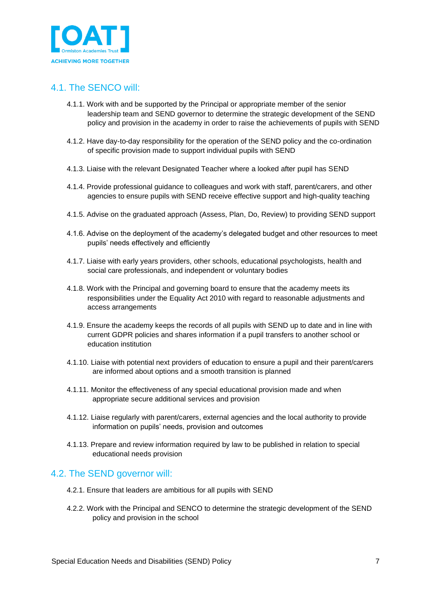

#### <span id="page-6-0"></span>4.1. The SENCO will:

- 4.1.1. Work with and be supported by the Principal or appropriate member of the senior leadership team and SEND governor to determine the strategic development of the SEND policy and provision in the academy in order to raise the achievements of pupils with SEND
- 4.1.2. Have day-to-day responsibility for the operation of the SEND policy and the co-ordination of specific provision made to support individual pupils with SEND
- 4.1.3. Liaise with the relevant Designated Teacher where a looked after pupil has SEND
- 4.1.4. Provide professional guidance to colleagues and work with staff, parent/carers, and other agencies to ensure pupils with SEND receive effective support and high-quality teaching
- 4.1.5. Advise on the graduated approach (Assess, Plan, Do, Review) to providing SEND support
- 4.1.6. Advise on the deployment of the academy's delegated budget and other resources to meet pupils' needs effectively and efficiently
- 4.1.7. Liaise with early years providers, other schools, educational psychologists, health and social care professionals, and independent or voluntary bodies
- 4.1.8. Work with the Principal and governing board to ensure that the academy meets its responsibilities under the Equality Act 2010 with regard to reasonable adjustments and access arrangements
- 4.1.9. Ensure the academy keeps the records of all pupils with SEND up to date and in line with current GDPR policies and shares information if a pupil transfers to another school or education institution
- 4.1.10. Liaise with potential next providers of education to ensure a pupil and their parent/carers are informed about options and a smooth transition is planned
- 4.1.11. Monitor the effectiveness of any special educational provision made and when appropriate secure additional services and provision
- 4.1.12. Liaise regularly with parent/carers, external agencies and the local authority to provide information on pupils' needs, provision and outcomes
- 4.1.13. Prepare and review information required by law to be published in relation to special educational needs provision

#### <span id="page-6-1"></span>4.2. The SEND governor will:

- 4.2.1. Ensure that leaders are ambitious for all pupils with SEND
- 4.2.2. Work with the Principal and SENCO to determine the strategic development of the SEND policy and provision in the school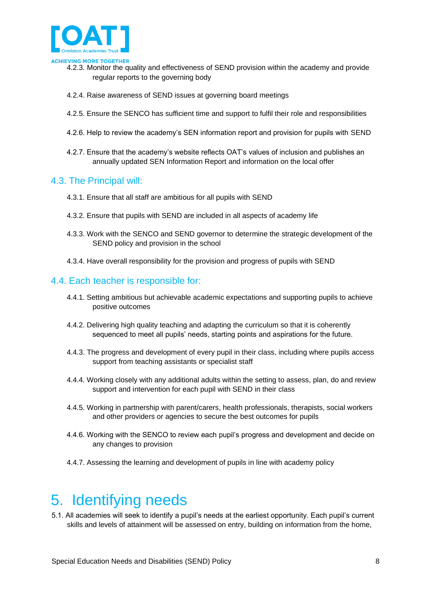

- 4.2.3. Monitor the quality and effectiveness of SEND provision within the academy and provide regular reports to the governing body
- 4.2.4. Raise awareness of SEND issues at governing board meetings
- 4.2.5. Ensure the SENCO has sufficient time and support to fulfil their role and responsibilities
- 4.2.6. Help to review the academy's SEN information report and provision for pupils with SEND
- 4.2.7. Ensure that the academy's website reflects OAT's values of inclusion and publishes an annually updated SEN Information Report and information on the local offer

#### <span id="page-7-0"></span>4.3. The Principal will:

- 4.3.1. Ensure that all staff are ambitious for all pupils with SEND
- 4.3.2. Ensure that pupils with SEND are included in all aspects of academy life
- 4.3.3. Work with the SENCO and SEND governor to determine the strategic development of the SEND policy and provision in the school
- 4.3.4. Have overall responsibility for the provision and progress of pupils with SEND

#### <span id="page-7-1"></span>4.4. Each teacher is responsible for:

- 4.4.1. Setting ambitious but achievable academic expectations and supporting pupils to achieve positive outcomes
- 4.4.2. Delivering high quality teaching and adapting the curriculum so that it is coherently sequenced to meet all pupils' needs, starting points and aspirations for the future.
- 4.4.3. The progress and development of every pupil in their class, including where pupils access support from teaching assistants or specialist staff
- 4.4.4. Working closely with any additional adults within the setting to assess, plan, do and review support and intervention for each pupil with SEND in their class
- 4.4.5. Working in partnership with parent/carers, health professionals, therapists, social workers and other providers or agencies to secure the best outcomes for pupils
- 4.4.6. Working with the SENCO to review each pupil's progress and development and decide on any changes to provision
- 4.4.7. Assessing the learning and development of pupils in line with academy policy

## <span id="page-7-2"></span>5. Identifying needs

5.1. All academies will seek to identify a pupil's needs at the earliest opportunity. Each pupil's current skills and levels of attainment will be assessed on entry, building on information from the home,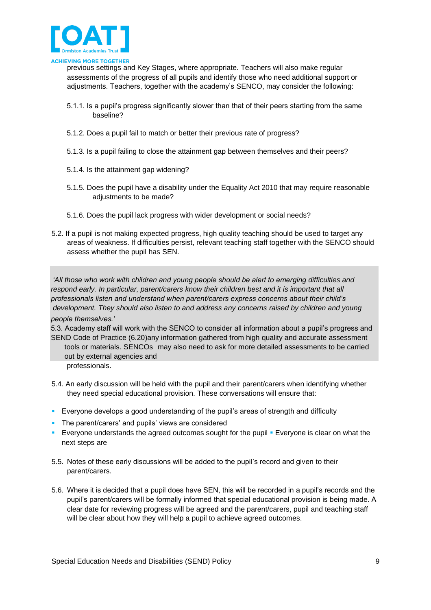

previous settings and Key Stages, where appropriate. Teachers will also make regular assessments of the progress of all pupils and identify those who need additional support or adjustments. Teachers, together with the academy's SENCO, may consider the following:

- 5.1.1. Is a pupil's progress significantly slower than that of their peers starting from the same baseline?
- 5.1.2. Does a pupil fail to match or better their previous rate of progress?
- 5.1.3. Is a pupil failing to close the attainment gap between themselves and their peers?
- 5.1.4. Is the attainment gap widening?
- 5.1.5. Does the pupil have a disability under the Equality Act 2010 that may require reasonable adjustments to be made?
- 5.1.6. Does the pupil lack progress with wider development or social needs?
- 5.2. If a pupil is not making expected progress, high quality teaching should be used to target any areas of weakness. If difficulties persist, relevant teaching staff together with the SENCO should assess whether the pupil has SEN.

*'All those who work with children and young people should be alert to emerging difficulties and respond early. In particular, parent/carers know their children best and it is important that all professionals listen and understand when parent/carers express concerns about their child's development. They should also listen to and address any concerns raised by children and young people themselves.'* 

5.3. Academy staff will work with the SENCO to consider all information about a pupil's progress and SEND Code of Practice (6.20)any information gathered from high quality and accurate assessment tools or materials. SENCOs may also need to ask for more detailed assessments to be carried out by external agencies and

professionals.

- 5.4. An early discussion will be held with the pupil and their parent/carers when identifying whether they need special educational provision. These conversations will ensure that:
- **Exeryone develops a good understanding of the pupil's areas of strength and difficulty**
- The parent/carers' and pupils' views are considered
- Everyone understands the agreed outcomes sought for the pupil Everyone is clear on what the next steps are
- 5.5. Notes of these early discussions will be added to the pupil's record and given to their parent/carers.
- 5.6. Where it is decided that a pupil does have SEN, this will be recorded in a pupil's records and the pupil's parent/carers will be formally informed that special educational provision is being made. A clear date for reviewing progress will be agreed and the parent/carers, pupil and teaching staff will be clear about how they will help a pupil to achieve agreed outcomes.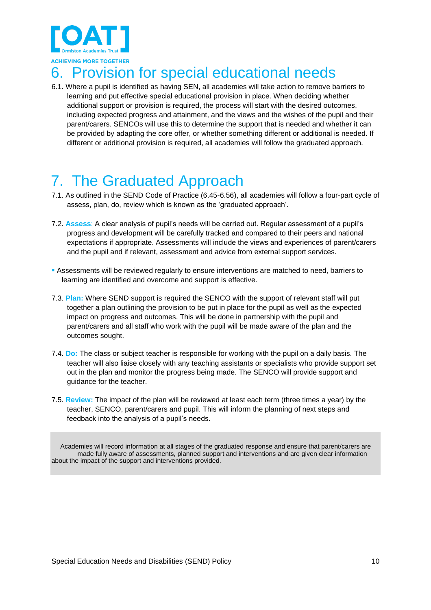

## <span id="page-9-0"></span>6. Provision for special educational needs

6.1. Where a pupil is identified as having SEN, all academies will take action to remove barriers to learning and put effective special educational provision in place. When deciding whether additional support or provision is required, the process will start with the desired outcomes, including expected progress and attainment, and the views and the wishes of the pupil and their parent/carers. SENCOs will use this to determine the support that is needed and whether it can be provided by adapting the core offer, or whether something different or additional is needed. If different or additional provision is required, all academies will follow the graduated approach.

## <span id="page-9-1"></span>7. The Graduated Approach

- 7.1. As outlined in the SEND Code of Practice (6.45-6.56), all academies will follow a four-part cycle of assess, plan, do, review which is known as the 'graduated approach'.
- 7.2. **Assess**: A clear analysis of pupil's needs will be carried out. Regular assessment of a pupil's progress and development will be carefully tracked and compared to their peers and national expectations if appropriate. Assessments will include the views and experiences of parent/carers and the pupil and if relevant, assessment and advice from external support services.
- **.** Assessments will be reviewed regularly to ensure interventions are matched to need, barriers to learning are identified and overcome and support is effective.
- 7.3. **Plan:** Where SEND support is required the SENCO with the support of relevant staff will put together a plan outlining the provision to be put in place for the pupil as well as the expected impact on progress and outcomes. This will be done in partnership with the pupil and parent/carers and all staff who work with the pupil will be made aware of the plan and the outcomes sought.
- 7.4. **Do:** The class or subject teacher is responsible for working with the pupil on a daily basis. The teacher will also liaise closely with any teaching assistants or specialists who provide support set out in the plan and monitor the progress being made. The SENCO will provide support and guidance for the teacher.
- 7.5. **Review:** The impact of the plan will be reviewed at least each term (three times a year) by the teacher, SENCO, parent/carers and pupil. This will inform the planning of next steps and feedback into the analysis of a pupil's needs.

Academies will record information at all stages of the graduated response and ensure that parent/carers are made fully aware of assessments, planned support and interventions and are given clear information about the impact of the support and interventions provided.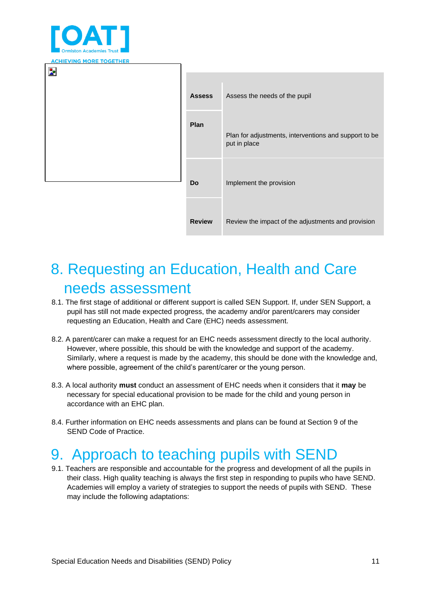

| <b>AURIEVING MORE TOGETHER</b> |               |                                                                       |
|--------------------------------|---------------|-----------------------------------------------------------------------|
| Þ.                             |               |                                                                       |
|                                | <b>Assess</b> | Assess the needs of the pupil                                         |
|                                | Plan          | Plan for adjustments, interventions and support to be<br>put in place |
|                                | <b>Do</b>     | Implement the provision                                               |
|                                | <b>Review</b> | Review the impact of the adjustments and provision                    |

## <span id="page-10-0"></span>8. Requesting an Education, Health and Care needs assessment

- 8.1. The first stage of additional or different support is called SEN Support. If, under SEN Support, a pupil has still not made expected progress, the academy and/or parent/carers may consider requesting an Education, Health and Care (EHC) needs assessment.
- 8.2. A parent/carer can make a request for an EHC needs assessment directly to the local authority. However, where possible, this should be with the knowledge and support of the academy. Similarly, where a request is made by the academy, this should be done with the knowledge and, where possible, agreement of the child's parent/carer or the young person.
- 8.3. A local authority **must** conduct an assessment of EHC needs when it considers that it **may** be necessary for special educational provision to be made for the child and young person in accordance with an EHC plan.
- 8.4. Further information on EHC needs assessments and plans can be found at Section 9 of the SEND Code of Practice.

### <span id="page-10-1"></span>9. Approach to teaching pupils with SEND

9.1. Teachers are responsible and accountable for the progress and development of all the pupils in their class. High quality teaching is always the first step in responding to pupils who have SEND. Academies will employ a variety of strategies to support the needs of pupils with SEND. These may include the following adaptations: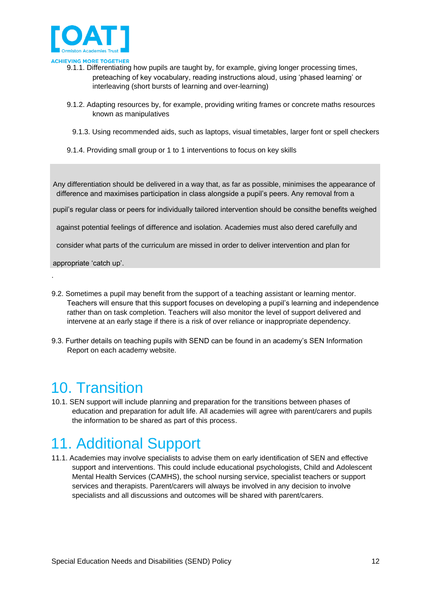

- 9.1.1. Differentiating how pupils are taught by, for example, giving longer processing times, preteaching of key vocabulary, reading instructions aloud, using 'phased learning' or interleaving (short bursts of learning and over-learning)
- 9.1.2. Adapting resources by, for example, providing writing frames or concrete maths resources known as manipulatives
	- 9.1.3. Using recommended aids, such as laptops, visual timetables, larger font or spell checkers
- 9.1.4. Providing small group or 1 to 1 interventions to focus on key skills

Any differentiation should be delivered in a way that, as far as possible, minimises the appearance of difference and maximises participation in class alongside a pupil's peers. Any removal from a

pupil's regular class or peers for individually tailored intervention should be consithe benefits weighed

against potential feelings of difference and isolation. Academies must also dered carefully and

consider what parts of the curriculum are missed in order to deliver intervention and plan for

appropriate 'catch up'.

.

- 9.2. Sometimes a pupil may benefit from the support of a teaching assistant or learning mentor. Teachers will ensure that this support focuses on developing a pupil's learning and independence rather than on task completion. Teachers will also monitor the level of support delivered and intervene at an early stage if there is a risk of over reliance or inappropriate dependency.
- 9.3. Further details on teaching pupils with SEND can be found in an academy's SEN Information Report on each academy website.

### <span id="page-11-0"></span>10. Transition

10.1. SEN support will include planning and preparation for the transitions between phases of education and preparation for adult life. All academies will agree with parent/carers and pupils the information to be shared as part of this process.

## <span id="page-11-1"></span>11. Additional Support

11.1. Academies may involve specialists to advise them on early identification of SEN and effective support and interventions. This could include educational psychologists, Child and Adolescent Mental Health Services (CAMHS), the school nursing service, specialist teachers or support services and therapists. Parent/carers will always be involved in any decision to involve specialists and all discussions and outcomes will be shared with parent/carers.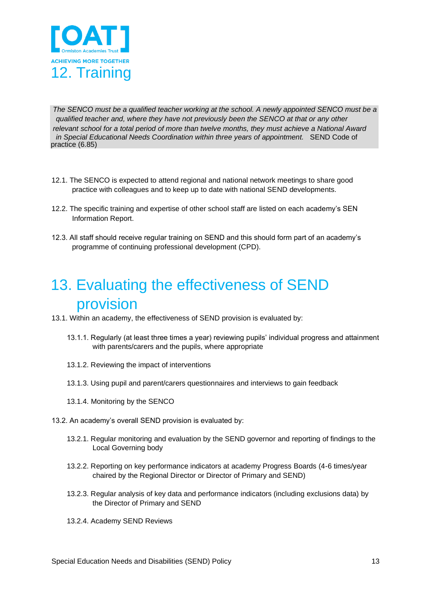

<span id="page-12-0"></span>*The SENCO must be a qualified teacher working at the school. A newly appointed SENCO must be a qualified teacher and, where they have not previously been the SENCO at that or any other relevant school for a total period of more than twelve months, they must achieve a National Award in Special Educational Needs Coordination within three years of appointment.* SEND Code of practice (6.85)

- 12.1. The SENCO is expected to attend regional and national network meetings to share good practice with colleagues and to keep up to date with national SEND developments.
- 12.2. The specific training and expertise of other school staff are listed on each academy's SEN Information Report.
- 12.3. All staff should receive regular training on SEND and this should form part of an academy's programme of continuing professional development (CPD).

## <span id="page-12-1"></span>13. Evaluating the effectiveness of SEND provision

- 13.1. Within an academy, the effectiveness of SEND provision is evaluated by:
	- 13.1.1. Regularly (at least three times a year) reviewing pupils' individual progress and attainment with parents/carers and the pupils, where appropriate
	- 13.1.2. Reviewing the impact of interventions
	- 13.1.3. Using pupil and parent/carers questionnaires and interviews to gain feedback
	- 13.1.4. Monitoring by the SENCO
- 13.2. An academy's overall SEND provision is evaluated by:
	- 13.2.1. Regular monitoring and evaluation by the SEND governor and reporting of findings to the Local Governing body
	- 13.2.2. Reporting on key performance indicators at academy Progress Boards (4-6 times/year chaired by the Regional Director or Director of Primary and SEND)
	- 13.2.3. Regular analysis of key data and performance indicators (including exclusions data) by the Director of Primary and SEND
	- 13.2.4. Academy SEND Reviews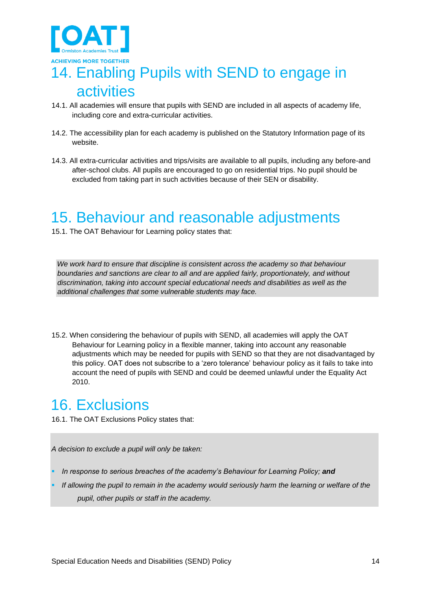

# <span id="page-13-0"></span>14. Enabling Pupils with SEND to engage in activities

- 14.1. All academies will ensure that pupils with SEND are included in all aspects of academy life, including core and extra-curricular activities.
- 14.2. The accessibility plan for each academy is published on the Statutory Information page of its website.
- 14.3. All extra-curricular activities and trips/visits are available to all pupils, including any before-and after-school clubs. All pupils are encouraged to go on residential trips. No pupil should be excluded from taking part in such activities because of their SEN or disability.

### <span id="page-13-1"></span>15. Behaviour and reasonable adjustments

15.1. The OAT Behaviour for Learning policy states that:

*We work hard to ensure that discipline is consistent across the academy so that behaviour boundaries and sanctions are clear to all and are applied fairly, proportionately, and without discrimination, taking into account special educational needs and disabilities as well as the additional challenges that some vulnerable students may face.* 

15.2. When considering the behaviour of pupils with SEND, all academies will apply the OAT Behaviour for Learning policy in a flexible manner, taking into account any reasonable adjustments which may be needed for pupils with SEND so that they are not disadvantaged by this policy. OAT does not subscribe to a 'zero tolerance' behaviour policy as it fails to take into account the need of pupils with SEND and could be deemed unlawful under the Equality Act 2010.

### <span id="page-13-2"></span>16. Exclusions

16.1. The OAT Exclusions Policy states that:

*A decision to exclude a pupil will only be taken:* 

- In response to serious breaches of the academy's Behaviour for Learning Policy; and
- If allowing the pupil to remain in the academy would seriously harm the learning or welfare of the *pupil, other pupils or staff in the academy.*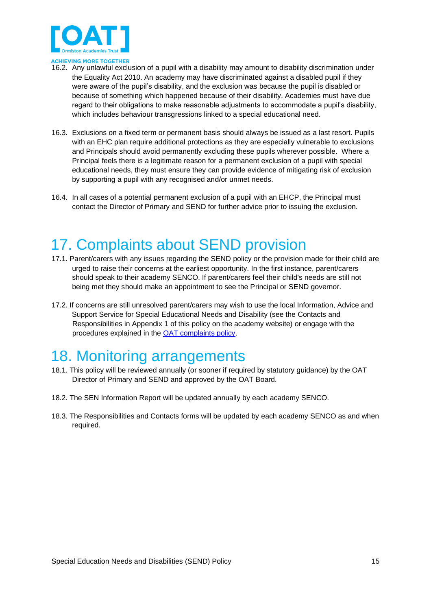

- **CHIEVING MORE TOGETHER**
- 16.2. Any unlawful exclusion of a pupil with a disability may amount to disability discrimination under the Equality Act 2010. An academy may have discriminated against a disabled pupil if they were aware of the pupil's disability, and the exclusion was because the pupil is disabled or because of something which happened because of their disability. Academies must have due regard to their obligations to make reasonable adjustments to accommodate a pupil's disability, which includes behaviour transgressions linked to a special educational need.
- 16.3. Exclusions on a fixed term or permanent basis should always be issued as a last resort. Pupils with an EHC plan require additional protections as they are especially vulnerable to exclusions and Principals should avoid permanently excluding these pupils wherever possible. Where a Principal feels there is a legitimate reason for a permanent exclusion of a pupil with special educational needs, they must ensure they can provide evidence of mitigating risk of exclusion by supporting a pupil with any recognised and/or unmet needs.
- 16.4. In all cases of a potential permanent exclusion of a pupil with an EHCP, the Principal must contact the Director of Primary and SEND for further advice prior to issuing the exclusion.

## <span id="page-14-0"></span>17. Complaints about SEND provision

- 17.1. Parent/carers with any issues regarding the SEND policy or the provision made for their child are urged to raise their concerns at the earliest opportunity. In the first instance, parent/carers should speak to their academy SENCO. If parent/carers feel their child's needs are still not being met they should make an appointment to see the Principal or SEND governor.
- 17.2. If concerns are still unresolved parent/carers may wish to use the local Information, Advice and Support Service for Special Educational Needs and Disability (see the Contacts and Responsibilities in Appendix 1 of this policy on the academy website) or engage with the procedures explained in the [OAT complaints policy.](https://endeavour.rivoagency.com/admin/wp-content/uploads/sites/8/2020/09/OEA-Complaints-Policy.pdf)

### <span id="page-14-1"></span>18. Monitoring arrangements

- 18.1. This policy will be reviewed annually (or sooner if required by statutory guidance) by the OAT Director of Primary and SEND and approved by the OAT Board.
- 18.2. The SEN Information Report will be updated annually by each academy SENCO.
- 18.3. The Responsibilities and Contacts forms will be updated by each academy SENCO as and when required.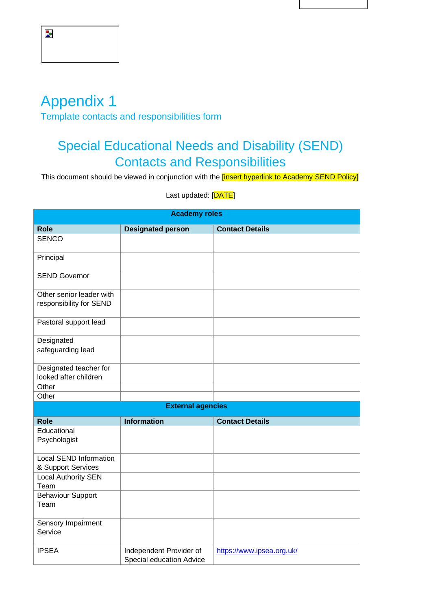## <span id="page-15-0"></span>Appendix 1

<span id="page-15-1"></span>Template contacts and responsibilities form

#### Special Educational Needs and Disability (SEND) Contacts and Responsibilities

This document should be viewed in conjunction with the *[insert hyperlink to Academy SEND Policy]* 

Last updated: [DATE]

| <b>Academy roles</b>       |                                                     |                           |  |
|----------------------------|-----------------------------------------------------|---------------------------|--|
| <b>Role</b>                | <b>Designated person</b>                            | <b>Contact Details</b>    |  |
| <b>SENCO</b>               |                                                     |                           |  |
| Principal                  |                                                     |                           |  |
| <b>SEND Governor</b>       |                                                     |                           |  |
| Other senior leader with   |                                                     |                           |  |
| responsibility for SEND    |                                                     |                           |  |
| Pastoral support lead      |                                                     |                           |  |
| Designated                 |                                                     |                           |  |
| safeguarding lead          |                                                     |                           |  |
| Designated teacher for     |                                                     |                           |  |
| looked after children      |                                                     |                           |  |
| Other                      |                                                     |                           |  |
| Other                      |                                                     |                           |  |
|                            | <b>External agencies</b>                            |                           |  |
| <b>Role</b>                | <b>Information</b>                                  | <b>Contact Details</b>    |  |
| Educational                |                                                     |                           |  |
| Psychologist               |                                                     |                           |  |
| Local SEND Information     |                                                     |                           |  |
| & Support Services         |                                                     |                           |  |
| <b>Local Authority SEN</b> |                                                     |                           |  |
| Team                       |                                                     |                           |  |
| <b>Behaviour Support</b>   |                                                     |                           |  |
| Team                       |                                                     |                           |  |
| Sensory Impairment         |                                                     |                           |  |
| Service                    |                                                     |                           |  |
| <b>IPSEA</b>               | Independent Provider of<br>Special education Advice | https://www.ipsea.org.uk/ |  |